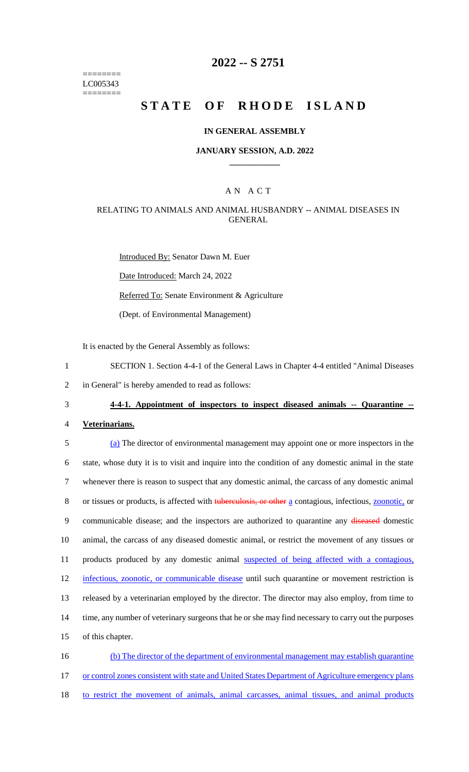======== LC005343 ========

# **2022 -- S 2751**

# **STATE OF RHODE ISLAND**

### **IN GENERAL ASSEMBLY**

## **JANUARY SESSION, A.D. 2022 \_\_\_\_\_\_\_\_\_\_\_\_**

## A N A C T

## RELATING TO ANIMALS AND ANIMAL HUSBANDRY -- ANIMAL DISEASES IN GENERAL

Introduced By: Senator Dawn M. Euer Date Introduced: March 24, 2022 Referred To: Senate Environment & Agriculture (Dept. of Environmental Management)

It is enacted by the General Assembly as follows:

- 1 SECTION 1. Section 4-4-1 of the General Laws in Chapter 4-4 entitled "Animal Diseases
- 2 in General" is hereby amended to read as follows:
- 

### 3 **4-4-1. Appointment of inspectors to inspect diseased animals -- Quarantine --**

#### 4 **Veterinarians.**

 (a) The director of environmental management may appoint one or more inspectors in the state, whose duty it is to visit and inquire into the condition of any domestic animal in the state whenever there is reason to suspect that any domestic animal, the carcass of any domestic animal 8 or tissues or products, is affected with tuberculosis, or other a contagious, infectious, **zoonotic**, or communicable disease; and the inspectors are authorized to quarantine any diseased domestic animal, the carcass of any diseased domestic animal, or restrict the movement of any tissues or 11 products produced by any domestic animal suspected of being affected with a contagious, infectious, zoonotic, or communicable disease until such quarantine or movement restriction is released by a veterinarian employed by the director. The director may also employ, from time to time, any number of veterinary surgeons that he or she may find necessary to carry out the purposes of this chapter. (b) The director of the department of environmental management may establish quarantine

17 or control zones consistent with state and United States Department of Agriculture emergency plans

18 to restrict the movement of animals, animal carcasses, animal tissues, and animal products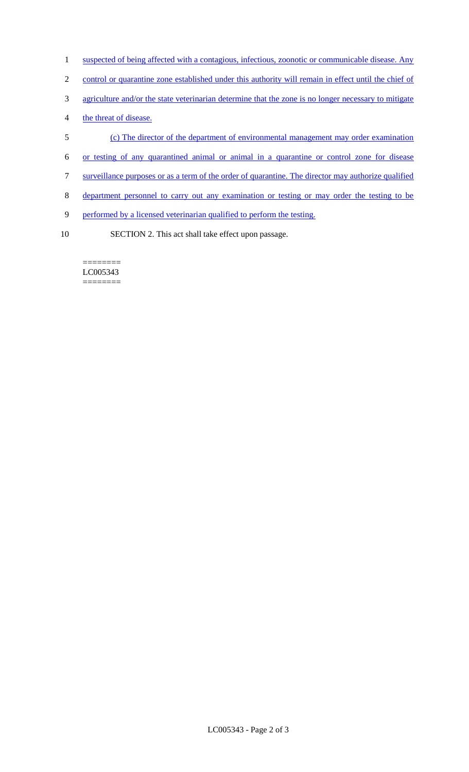- 1 suspected of being affected with a contagious, infectious, zoonotic or communicable disease. Any
- 2 control or quarantine zone established under this authority will remain in effect until the chief of
- 3 agriculture and/or the state veterinarian determine that the zone is no longer necessary to mitigate
- 4 the threat of disease.
- 5 (c) The director of the department of environmental management may order examination
- 6 or testing of any quarantined animal or animal in a quarantine or control zone for disease
- 7 surveillance purposes or as a term of the order of quarantine. The director may authorize qualified
- 8 department personnel to carry out any examination or testing or may order the testing to be
- 9 performed by a licensed veterinarian qualified to perform the testing.
- 10 SECTION 2. This act shall take effect upon passage.

======== LC005343 ========